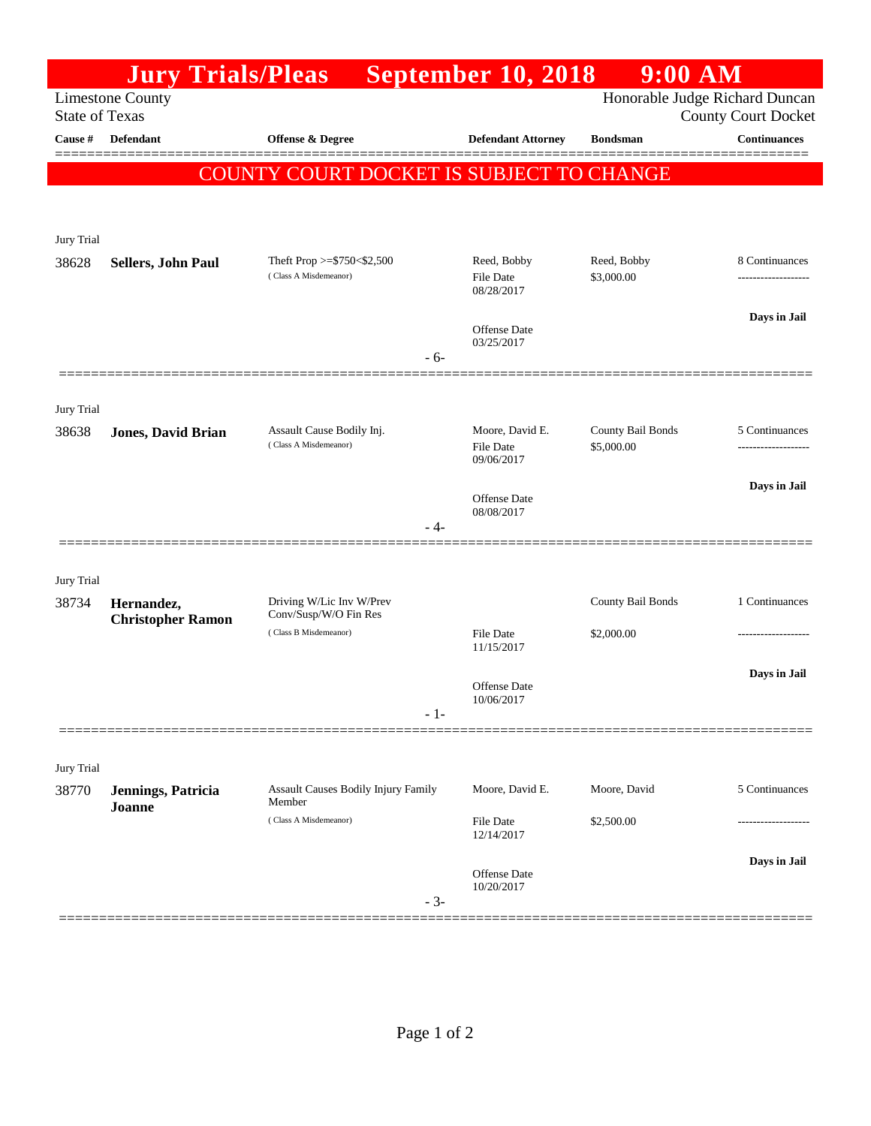|                       | <b>Jury Trials/Pleas</b>  |                                                          | September 10, 2018                | $9:00$ AM                       |                                                              |
|-----------------------|---------------------------|----------------------------------------------------------|-----------------------------------|---------------------------------|--------------------------------------------------------------|
| <b>State of Texas</b> | <b>Limestone County</b>   |                                                          |                                   |                                 | Honorable Judge Richard Duncan<br><b>County Court Docket</b> |
| Cause #               | Defendant                 | Offense & Degree                                         | <b>Defendant Attorney</b>         | <b>Bondsman</b>                 | <b>Continuances</b>                                          |
|                       |                           |                                                          |                                   |                                 |                                                              |
|                       |                           | COUNTY COURT DOCKET IS SUBJECT TO CHANGE                 |                                   |                                 |                                                              |
|                       |                           |                                                          |                                   |                                 |                                                              |
| Jury Trial            |                           |                                                          |                                   |                                 |                                                              |
| 38628                 | <b>Sellers, John Paul</b> | Theft Prop $>=$ \$750 < \$2,500<br>(Class A Misdemeanor) | Reed, Bobby<br>File Date          | Reed, Bobby<br>\$3,000.00       | 8 Continuances                                               |
|                       |                           |                                                          | 08/28/2017                        |                                 |                                                              |
|                       |                           |                                                          | <b>Offense Date</b><br>03/25/2017 |                                 | Days in Jail                                                 |
|                       |                           |                                                          | $-6-$                             |                                 |                                                              |
|                       |                           |                                                          |                                   |                                 |                                                              |
| Jury Trial            |                           | Assault Cause Bodily Inj.                                |                                   |                                 |                                                              |
| 38638                 | <b>Jones, David Brian</b> | (Class A Misdemeanor)                                    | Moore, David E.<br>File Date      | County Bail Bonds<br>\$5,000.00 | 5 Continuances<br>----------------                           |
|                       |                           |                                                          | 09/06/2017                        |                                 | Days in Jail                                                 |
|                       |                           |                                                          | Offense Date<br>08/08/2017        |                                 |                                                              |
|                       |                           |                                                          | - 4-                              |                                 |                                                              |
|                       |                           |                                                          |                                   |                                 |                                                              |
| Jury Trial<br>38734   | Hernandez,                | Driving W/Lic Inv W/Prev                                 |                                   | County Bail Bonds               | 1 Continuances                                               |
|                       | <b>Christopher Ramon</b>  | Conv/Susp/W/O Fin Res<br>(Class B Misdemeanor)           |                                   |                                 |                                                              |
|                       |                           |                                                          | <b>File Date</b><br>11/15/2017    | \$2,000.00                      | .                                                            |
|                       |                           |                                                          | Offense Date                      |                                 | Days in Jail                                                 |
|                       |                           |                                                          | 10/06/2017<br>$-1-$               |                                 |                                                              |
|                       |                           |                                                          |                                   |                                 |                                                              |
| Jury Trial            |                           |                                                          |                                   |                                 |                                                              |
| 38770                 | Jennings, Patricia        | <b>Assault Causes Bodily Injury Family</b><br>Member     | Moore, David E.                   | Moore, David                    | 5 Continuances                                               |
|                       | Joanne                    | (Class A Misdemeanor)                                    | File Date<br>12/14/2017           | \$2,500.00                      | ----------------                                             |
|                       |                           |                                                          |                                   |                                 | Days in Jail                                                 |
|                       |                           |                                                          | Offense Date<br>10/20/2017        |                                 |                                                              |
|                       |                           |                                                          | $-3-$                             |                                 |                                                              |